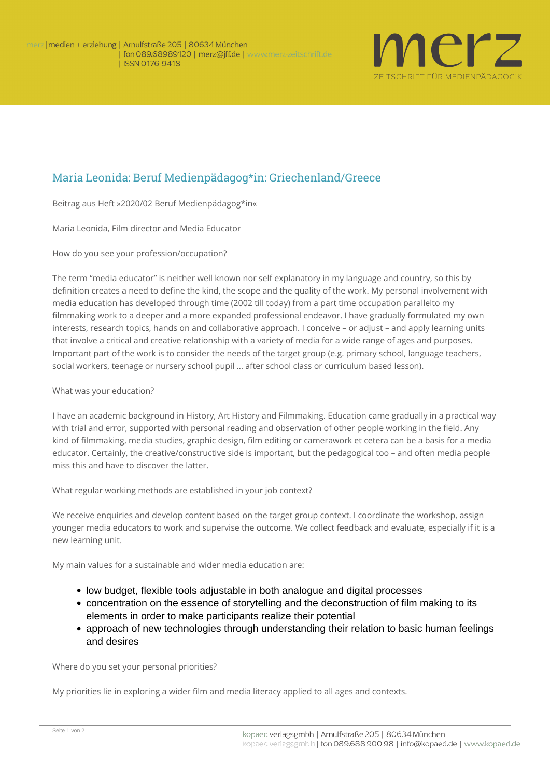

## Maria Leonida: Beruf Medienpädagog\*in: Griechenland/Greece

**Beitrag aus Heft »2020/02 Beruf Medienpädagog\*in«**

*Maria Leonida, Film director and Media Educator*

**How do you see your profession/occupation?**

The term "media educator" is neither well known nor self explanatory in my language and country, so this by definition creates a need to define the kind, the scope and the quality of the work. My personal involvement with media education has developed through time (2002 till today) from a part time occupation parallelto my filmmaking work to a deeper and a more expanded professional endeavor. I have gradually formulated my own interests, research topics, hands on and collaborative approach. I conceive – or adjust – and apply learning units that involve a critical and creative relationship with a variety of media for a wide range of ages and purposes. Important part of the work is to consider the needs of the target group (e.g. primary school, language teachers, social workers, teenage or nursery school pupil … after school class or curriculum based lesson).

## **What was your education?**

I have an academic background in History, Art History and Filmmaking. Education came gradually in a practical way with trial and error, supported with personal reading and observation of other people working in the field. Any kind of filmmaking, media studies, graphic design, film editing or camerawork et cetera can be a basis for a media educator. Certainly, the creative/constructive side is important, but the pedagogical too – and often media people miss this and have to discover the latter.

**What regular working methods are established in your job context?**

We receive enquiries and develop content based on the target group context. I coordinate the workshop, assign younger media educators to work and supervise the outcome. We collect feedback and evaluate, especially if it is a new learning unit.

My main values for a sustainable and wider media education are:

- low budget, flexible tools adjustable in both analogue and digital processes
- concentration on the essence of storytelling and the deconstruction of film making to its elements in order to make participants realize their potential
- approach of new technologies through understanding their relation to basic human feelings and desires

**Where do you set your personal priorities?**

My priorities lie in exploring a wider film and media literacy applied to all ages and contexts.